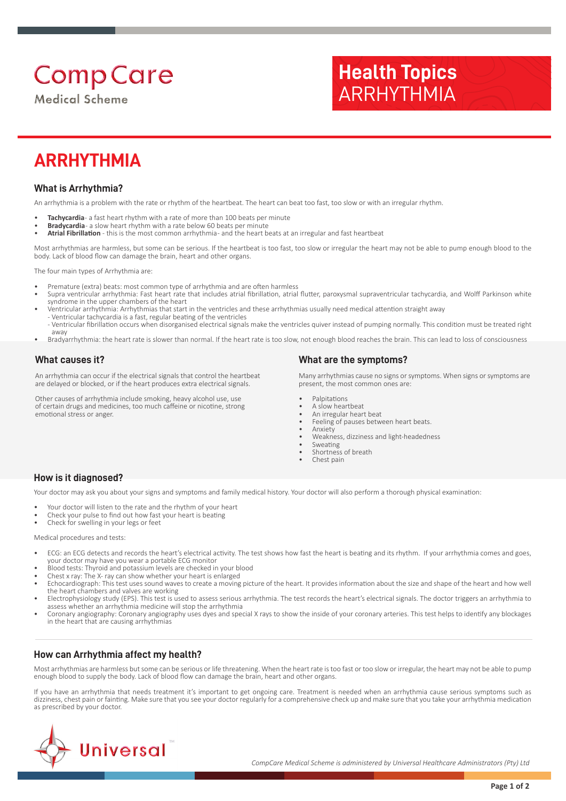# **Comp Care**

**Medical Scheme** 

# **Health Topics** ARRHYTHMIA

# **ARRHYTHMIA**

## **What is Arrhythmia?**

An arrhythmia is a problem with the rate or rhythm of the heartbeat. The heart can beat too fast, too slow or with an irregular rhythm.

- Tachycardia- a fast heart rhythm with a rate of more than 100 beats per minute
- **Bradycardia** a slow heart rhythm with a rate below 60 beats per minute
- **Atrial Fibrillation**  this is the most common arrhythmia and the heart beats at an irregular and fast heartbeat

Most arrhythmias are harmless, but some can be serious. If the heartbeat is too fast, too slow or irregular the heart may not be able to pump enough blood to the body. Lack of blood flow can damage the brain, heart and other organs.

The four main types of Arrhythmia are:

- Premature (extra) beats: most common type of arrhythmia and are often harmless
- Supra ventricular arrhythmia: Fast heart rate that includes atrial fibrillation, atrial flutter, paroxysmal supraventricular tachycardia, and Wolff Parkinson white syndrome in the upper chambers of the heart
- Ventricular arrhythmia: Arrhythmias that start in the ventricles and these arrhythmias usually need medical attention straight away - Ventricular tachycardia is a fast, regular beating of the ventricles
- Ventricular fibrillation occurs when disorganised electrical signals make the ventricles quiver instead of pumping normally. This condition must be treated right away
- Bradyarrhythmia: the heart rate is slower than normal. If the heart rate is too slow, not enough blood reaches the brain. This can lead to loss of consciousness

### **What causes it?**

An arrhythmia can occur if the electrical signals that control the heartbeat are delayed or blocked, or if the heart produces extra electrical signals.

Other causes of arrhythmia include smoking, heavy alcohol use, use of certain drugs and medicines, too much caffeine or nicotine, strong emotional stress or anger.

#### **What are the symptoms?**

Many arrhythmias cause no signs or symptoms. When signs or symptoms are present, the most common ones are:

- **Palpitations**
- A slow heartbeat • An irregular heart beat
- Feeling of pauses between heart beats.
- Anxiety
- Weakness, dizziness and light-headedness
- Sweating
- Shortness of breath Chest pain

### **How is it diagnosed?**

Your doctor may ask you about your signs and symptoms and family medical history. Your doctor will also perform a thorough physical examination:

- Your doctor will listen to the rate and the rhythm of your heart
- Check your pulse to find out how fast your heart is beating
- Check for swelling in your legs or feet

Medical procedures and tests:

- ECG: an ECG detects and records the heart's electrical activity. The test shows how fast the heart is beating and its rhythm. If your arrhythmia comes and goes, your doctor may have you wear a portable ECG monitor
- Blood tests: Thyroid and potassium levels are checked in your blood
- Chest x ray: The X- ray can show whether your heart is enlarged
- Echocardiograph: This test uses sound waves to create a moving picture of the heart. It provides information about the size and shape of the heart and how well the heart chambers and valves are working
- Electrophysiology study (EPS). This test is used to assess serious arrhythmia. The test records the heart's electrical signals. The doctor triggers an arrhythmia to assess whether an arrhythmia medicine will stop the arrhythmia
- Coronary angiography: Coronary angiography uses dyes and special X rays to show the inside of your coronary arteries. This test helps to identify any blockages in the heart that are causing arrhythmias

#### **How can Arrhythmia affect my health?**

Most arrhythmias are harmless but some can be serious or life threatening. When the heart rate is too fast or too slow or irregular, the heart may not be able to pump enough blood to supply the body. Lack of blood flow can damage the brain, heart and other organs.

If you have an arrhythmia that needs treatment it's important to get ongoing care. Treatment is needed when an arrhythmia cause serious symptoms such as dizziness, chest pain or fainting. Make sure that you see your doctor regularly for a comprehensive check up and make sure that you take your arrhythmia medication as prescribed by your doctor.